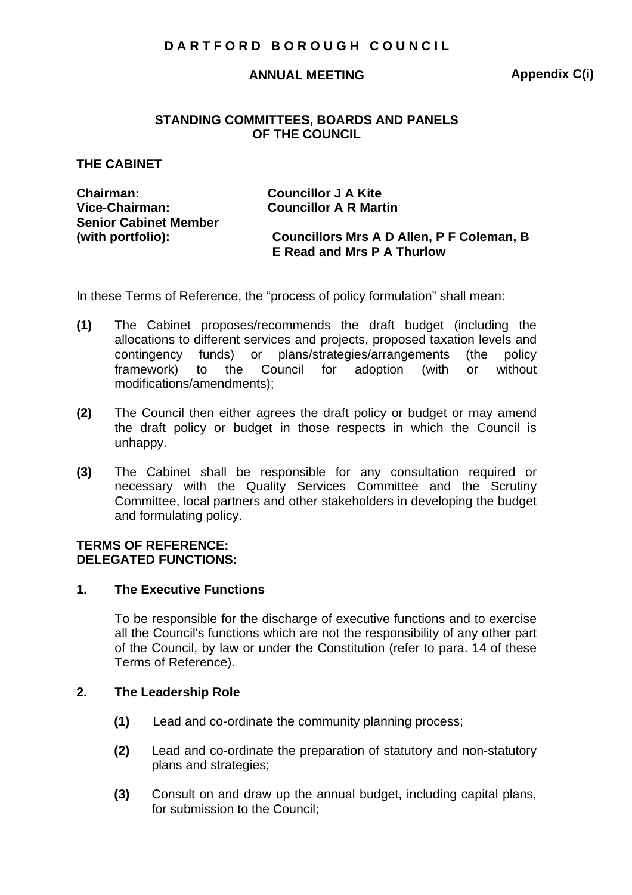### **ANNUAL MEETING**

**Appendix C(i)** 

### **STANDING COMMITTEES, BOARDS AND PANELS OF THE COUNCIL**

### **THE CABINET**

| <b>Chairman:</b>             | <b>Councillor J A Kite</b>                |
|------------------------------|-------------------------------------------|
| Vice-Chairman:               | <b>Councillor A R Martin</b>              |
| <b>Senior Cabinet Member</b> |                                           |
| (with portfolio):            | Councillors Mrs A D Allen, P F Coleman, B |
|                              | E Read and Mrs P A Thurlow                |
|                              |                                           |

In these Terms of Reference, the "process of policy formulation" shall mean:

- **(1)** The Cabinet proposes/recommends the draft budget (including the allocations to different services and projects, proposed taxation levels and contingency funds) or plans/strategies/arrangements (the policy framework) to the Council for adoption (with or without modifications/amendments);
- **(2)** The Council then either agrees the draft policy or budget or may amend the draft policy or budget in those respects in which the Council is unhappy.
- **(3)** The Cabinet shall be responsible for any consultation required or necessary with the Quality Services Committee and the Scrutiny Committee, local partners and other stakeholders in developing the budget and formulating policy.

## **TERMS OF REFERENCE: DELEGATED FUNCTIONS:**

### **1. The Executive Functions**

To be responsible for the discharge of executive functions and to exercise all the Council's functions which are not the responsibility of any other part of the Council, by law or under the Constitution (refer to para. 14 of these Terms of Reference).

## **2. The Leadership Role**

- **(1)** Lead and co-ordinate the community planning process;
- **(2)** Lead and co-ordinate the preparation of statutory and non-statutory plans and strategies;
- **(3)** Consult on and draw up the annual budget, including capital plans, for submission to the Council;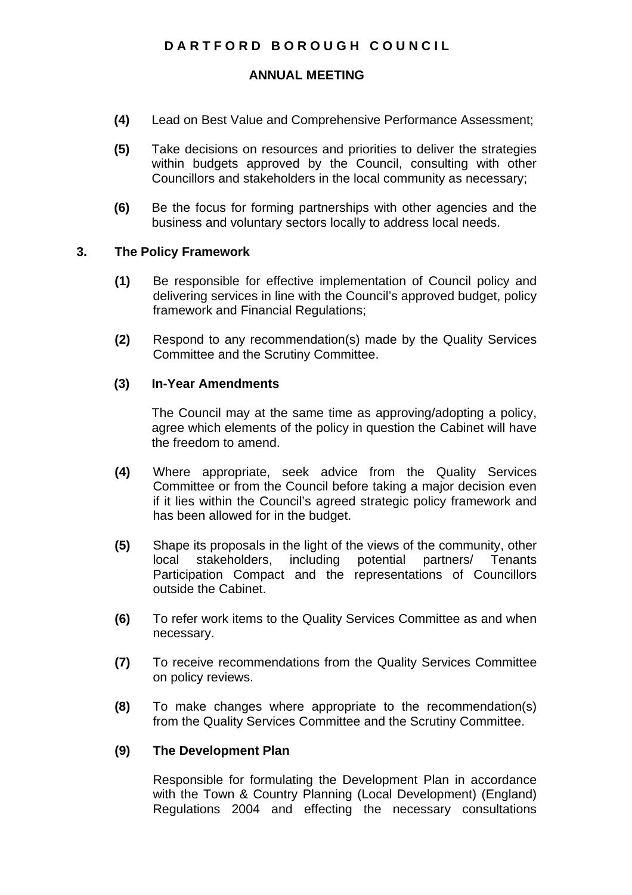# **ANNUAL MEETING**

- **(4)** Lead on Best Value and Comprehensive Performance Assessment;
- **(5)** Take decisions on resources and priorities to deliver the strategies within budgets approved by the Council, consulting with other Councillors and stakeholders in the local community as necessary;
- **(6)** Be the focus for forming partnerships with other agencies and the business and voluntary sectors locally to address local needs.

## **3. The Policy Framework**

- **(1)** Be responsible for effective implementation of Council policy and delivering services in line with the Council's approved budget, policy framework and Financial Regulations;
- **(2)** Respond to any recommendation(s) made by the Quality Services Committee and the Scrutiny Committee.

## **(3) In-Year Amendments**

The Council may at the same time as approving/adopting a policy, agree which elements of the policy in question the Cabinet will have the freedom to amend.

- **(4)** Where appropriate, seek advice from the Quality Services Committee or from the Council before taking a major decision even if it lies within the Council's agreed strategic policy framework and has been allowed for in the budget.
- **(5)** Shape its proposals in the light of the views of the community, other local stakeholders, including potential partners/ Tenants Participation Compact and the representations of Councillors outside the Cabinet.
- **(6)** To refer work items to the Quality Services Committee as and when necessary.
- **(7)** To receive recommendations from the Quality Services Committee on policy reviews.
- **(8)** To make changes where appropriate to the recommendation(s) from the Quality Services Committee and the Scrutiny Committee.

# **(9) The Development Plan**

Responsible for formulating the Development Plan in accordance with the Town & Country Planning (Local Development) (England) Regulations 2004 and effecting the necessary consultations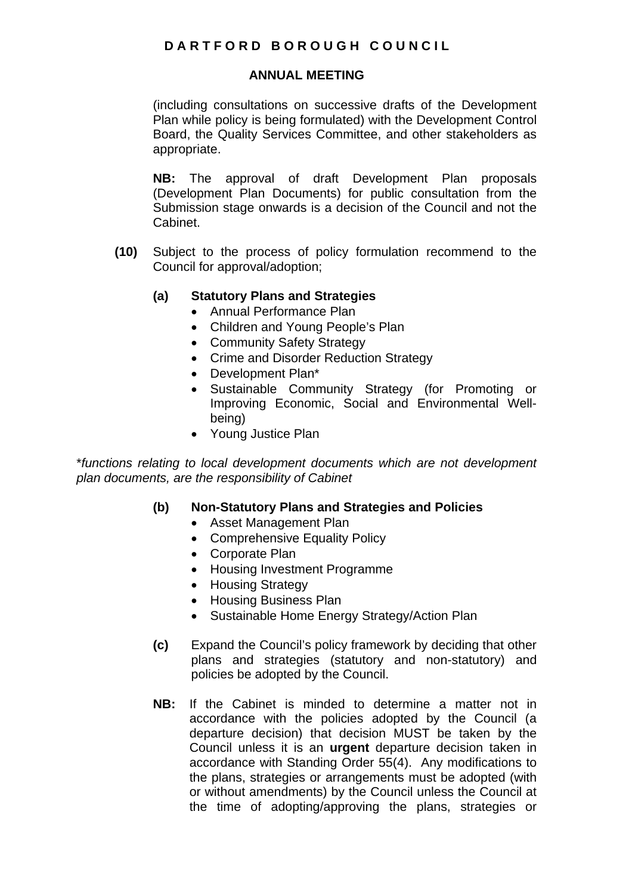## **ANNUAL MEETING**

(including consultations on successive drafts of the Development Plan while policy is being formulated) with the Development Control Board, the Quality Services Committee, and other stakeholders as appropriate.

**NB:** The approval of draft Development Plan proposals (Development Plan Documents) for public consultation from the Submission stage onwards is a decision of the Council and not the Cabinet.

**(10)** Subject to the process of policy formulation recommend to the Council for approval/adoption;

# **(a) Statutory Plans and Strategies**

- Annual Performance Plan
- Children and Young People's Plan
- Community Safety Strategy
- Crime and Disorder Reduction Strategy
- Development Plan\*
- Sustainable Community Strategy (for Promoting or Improving Economic, Social and Environmental Wellbeing)
- Young Justice Plan

\**functions relating to local development documents which are not development plan documents, are the responsibility of Cabinet*

# **(b) Non-Statutory Plans and Strategies and Policies**

- Asset Management Plan
- Comprehensive Equality Policy
- Corporate Plan
- Housing Investment Programme
- Housing Strategy
- Housing Business Plan
- Sustainable Home Energy Strategy/Action Plan
- **(c)** Expand the Council's policy framework by deciding that other plans and strategies (statutory and non-statutory) and policies be adopted by the Council.
- **NB:** If the Cabinet is minded to determine a matter not in accordance with the policies adopted by the Council (a departure decision) that decision MUST be taken by the Council unless it is an **urgent** departure decision taken in accordance with Standing Order 55(4). Any modifications to the plans, strategies or arrangements must be adopted (with or without amendments) by the Council unless the Council at the time of adopting/approving the plans, strategies or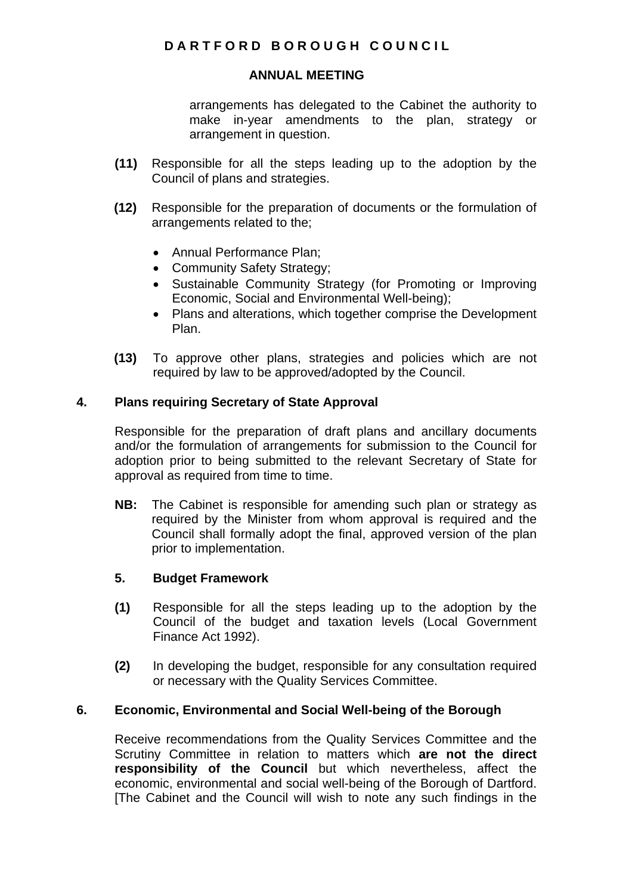# **ANNUAL MEETING**

arrangements has delegated to the Cabinet the authority to make in-year amendments to the plan, strategy or arrangement in question.

- **(11)** Responsible for all the steps leading up to the adoption by the Council of plans and strategies.
- **(12)** Responsible for the preparation of documents or the formulation of arrangements related to the;
	- Annual Performance Plan;
	- Community Safety Strategy;
	- Sustainable Community Strategy (for Promoting or Improving Economic, Social and Environmental Well-being);
	- Plans and alterations, which together comprise the Development Plan.
- **(13)** To approve other plans, strategies and policies which are not required by law to be approved/adopted by the Council.

# **4. Plans requiring Secretary of State Approval**

Responsible for the preparation of draft plans and ancillary documents and/or the formulation of arrangements for submission to the Council for adoption prior to being submitted to the relevant Secretary of State for approval as required from time to time.

**NB:** The Cabinet is responsible for amending such plan or strategy as required by the Minister from whom approval is required and the Council shall formally adopt the final, approved version of the plan prior to implementation.

# **5. Budget Framework**

- **(1)** Responsible for all the steps leading up to the adoption by the Council of the budget and taxation levels (Local Government Finance Act 1992).
- **(2)** In developing the budget, responsible for any consultation required or necessary with the Quality Services Committee.

# **6. Economic, Environmental and Social Well-being of the Borough**

Receive recommendations from the Quality Services Committee and the Scrutiny Committee in relation to matters which **are not the direct responsibility of the Council** but which nevertheless, affect the economic, environmental and social well-being of the Borough of Dartford. [The Cabinet and the Council will wish to note any such findings in the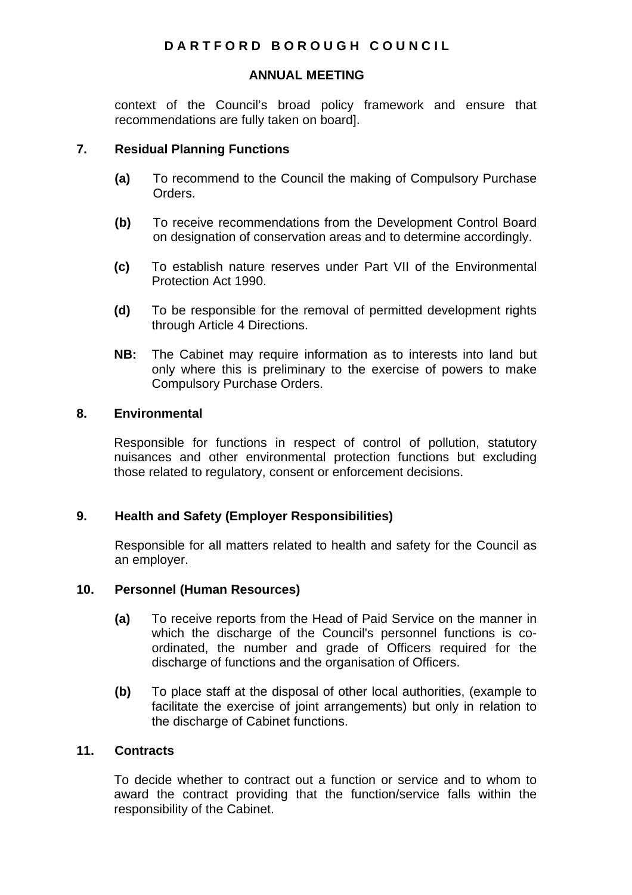## **ANNUAL MEETING**

context of the Council's broad policy framework and ensure that recommendations are fully taken on board].

## **7. Residual Planning Functions**

- **(a)** To recommend to the Council the making of Compulsory Purchase Orders.
- **(b)** To receive recommendations from the Development Control Board on designation of conservation areas and to determine accordingly.
- **(c)** To establish nature reserves under Part VII of the Environmental Protection Act 1990.
- **(d)** To be responsible for the removal of permitted development rights through Article 4 Directions.
- **NB:** The Cabinet may require information as to interests into land but only where this is preliminary to the exercise of powers to make Compulsory Purchase Orders.

## **8. Environmental**

Responsible for functions in respect of control of pollution, statutory nuisances and other environmental protection functions but excluding those related to regulatory, consent or enforcement decisions.

# **9. Health and Safety (Employer Responsibilities)**

Responsible for all matters related to health and safety for the Council as an employer.

## **10. Personnel (Human Resources)**

- **(a)** To receive reports from the Head of Paid Service on the manner in which the discharge of the Council's personnel functions is coordinated, the number and grade of Officers required for the discharge of functions and the organisation of Officers.
- **(b)** To place staff at the disposal of other local authorities, (example to facilitate the exercise of joint arrangements) but only in relation to the discharge of Cabinet functions.

# **11. Contracts**

To decide whether to contract out a function or service and to whom to award the contract providing that the function/service falls within the responsibility of the Cabinet.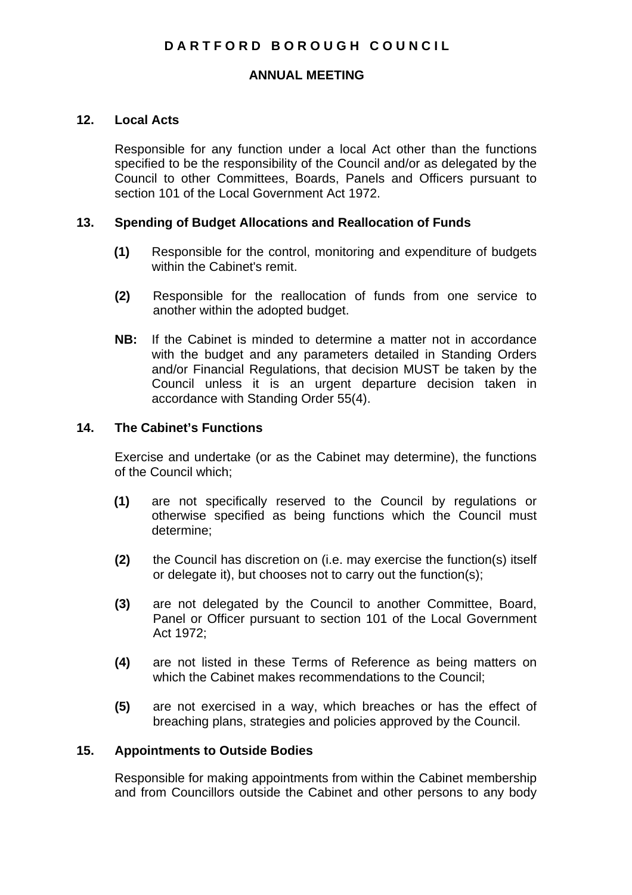### **ANNUAL MEETING**

### **12. Local Acts**

Responsible for any function under a local Act other than the functions specified to be the responsibility of the Council and/or as delegated by the Council to other Committees, Boards, Panels and Officers pursuant to section 101 of the Local Government Act 1972.

### **13. Spending of Budget Allocations and Reallocation of Funds**

- **(1)** Responsible for the control, monitoring and expenditure of budgets within the Cabinet's remit.
- **(2)** Responsible for the reallocation of funds from one service to another within the adopted budget.
- **NB:** If the Cabinet is minded to determine a matter not in accordance with the budget and any parameters detailed in Standing Orders and/or Financial Regulations, that decision MUST be taken by the Council unless it is an urgent departure decision taken in accordance with Standing Order 55(4).

# **14. The Cabinet's Functions**

Exercise and undertake (or as the Cabinet may determine), the functions of the Council which;

- **(1)** are not specifically reserved to the Council by regulations or otherwise specified as being functions which the Council must determine;
- **(2)** the Council has discretion on (i.e. may exercise the function(s) itself or delegate it), but chooses not to carry out the function(s);
- **(3)** are not delegated by the Council to another Committee, Board, Panel or Officer pursuant to section 101 of the Local Government Act 1972;
- **(4)** are not listed in these Terms of Reference as being matters on which the Cabinet makes recommendations to the Council;
- **(5)** are not exercised in a way, which breaches or has the effect of breaching plans, strategies and policies approved by the Council.

### **15. Appointments to Outside Bodies**

Responsible for making appointments from within the Cabinet membership and from Councillors outside the Cabinet and other persons to any body